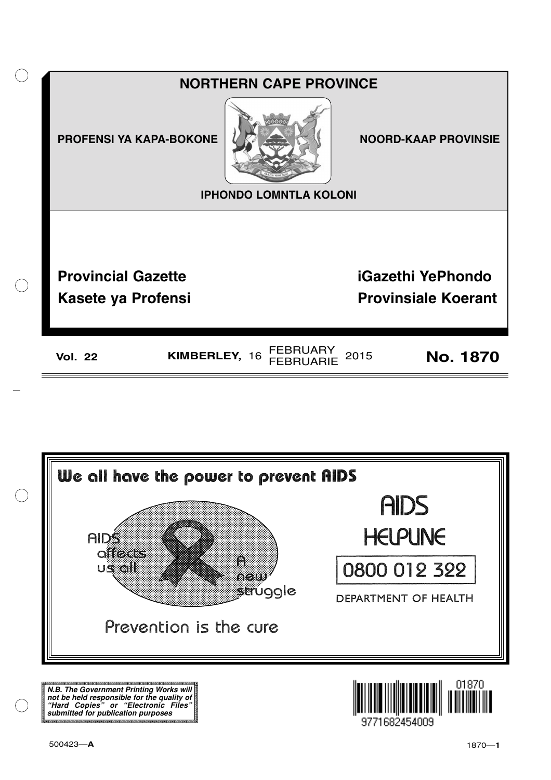



**N.B. The Government Printing Works will not be held responsible for the quality of "Hard Copies" or "Electronic Files" submitted for publication purposes**

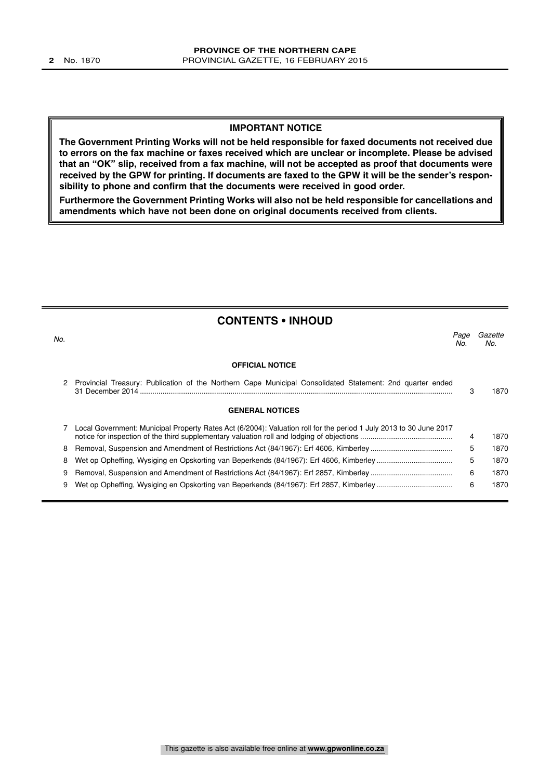#### **IMPORTANT NOTICE**

**The Government Printing Works will not be held responsible for faxed documents not received due to errors on the fax machine or faxes received which are unclear or incomplete. Please be advised that an "OK" slip, received from a fax machine, will not be accepted as proof that documents were received by the GPW for printing. If documents are faxed to the GPW it will be the sender's responsibility to phone and confirm that the documents were received in good order.**

**Furthermore the Government Printing Works will also not be held responsible for cancellations and amendments which have not been done on original documents received from clients.**

| <b>CONTENTS • INHOUD</b> |                                                                                                                    |             |                |  |  |  |
|--------------------------|--------------------------------------------------------------------------------------------------------------------|-------------|----------------|--|--|--|
| No.                      |                                                                                                                    | Page<br>No. | Gazette<br>No. |  |  |  |
|                          | <b>OFFICIAL NOTICE</b>                                                                                             |             |                |  |  |  |
|                          | Provincial Treasury: Publication of the Northern Cape Municipal Consolidated Statement: 2nd quarter ended          | З           | 1870           |  |  |  |
|                          | <b>GENERAL NOTICES</b>                                                                                             |             |                |  |  |  |
|                          | Local Government: Municipal Property Rates Act (6/2004): Valuation roll for the period 1 July 2013 to 30 June 2017 | 4           | 1870           |  |  |  |
| 8                        |                                                                                                                    | 5           | 1870           |  |  |  |
| 8                        |                                                                                                                    | 5           | 1870           |  |  |  |
| 9                        |                                                                                                                    | 6           | 1870           |  |  |  |
| 9                        |                                                                                                                    | 6           | 1870           |  |  |  |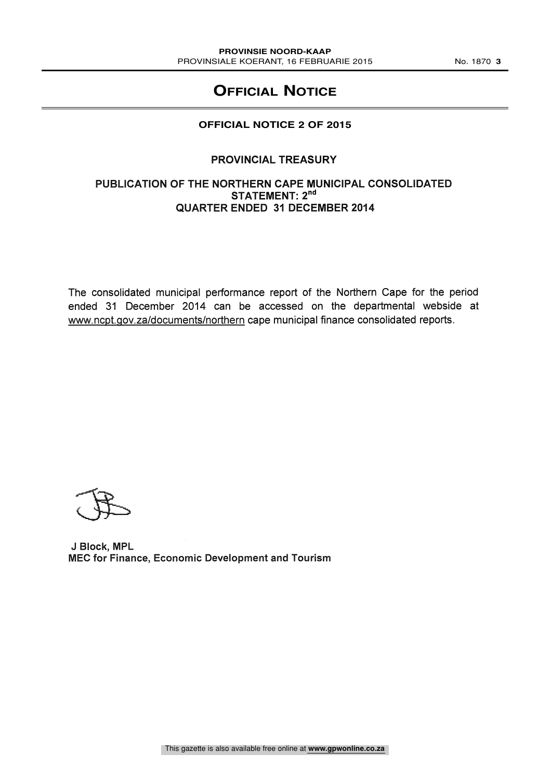# **OFFICIAL NOTICE**

# **OFFICIAL NOTICE 2 OF 2015**

# PROVINCIAL TREASURY

### PUBLICATION OF THE NORTHERN CAPE MUNICIPAL CONSOLIDATED STATEMENT: 2<sup>nd</sup> QUARTER ENDED 31 DECEMBER 2014

The consolidated municipal performance report of the Northern Cape for the period ended 31 December 2014 can be accessed on the departmental webside at www.ncpt.qov.za/documents/northern cape municipal finance consolidated reports.

J Block, MPL MEC for Finance, Economic Development and Tourism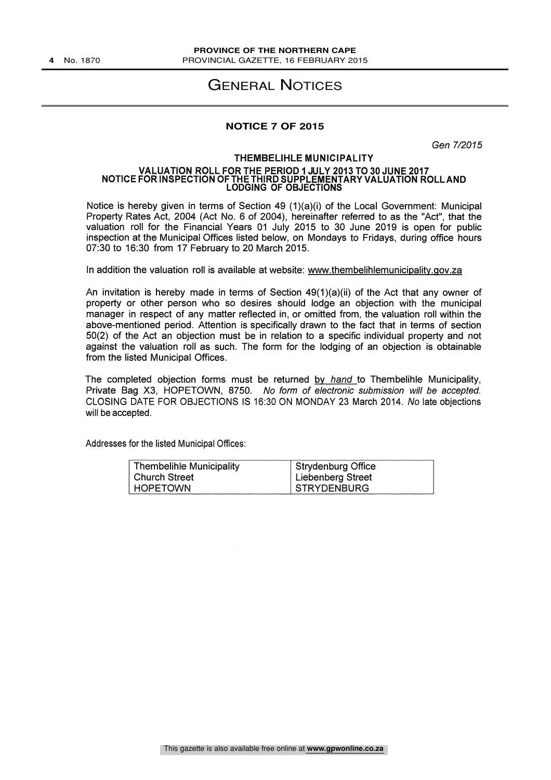# GENERAL NOTICES

#### **NOTICE 7 OF 2015**

Gen 7/2015

#### THEMBELIHLE MUNICIPALITY VALUATION ROLL FOR THE PERIOD 1 JULY 2013 TO 30 JUNE 2017 NOTICE FOR INSPECTION OF THE THIRD SUPPLEMENTARY VALUATION ROLLAND LODGING OF OBJECTIONS

Notice is hereby given in terms of Section 49 (1)(a)(i) of the Local Government: Municipal Property Rates Act, 2004 (Act No. 6 of 2004), hereinafter referred to as the "Act", that the valuation roll for the Financial Years 01 July 2015 to 30 June 2019 is open for public inspection at the Municipal Offices listed below, on Mondays to Fridays, during office hours 07:30 to 16:30 from 17 February to 20 March 2015.

#### In addition the valuation roll is available at website: www.thembelihlemunicipality.gov.za

An invitation is hereby made in terms of Section 49(1)(a)(ii) of the Act that any owner of property or other person who so desires should lodge an objection with the municipal manager in respect of any matter reflected in, or omitted from, the valuation roll within the above-mentioned period. Attention is specifically drawn to the fact that in terms of section 50(2) of the Act an objection must be in relation to a specific individual property and not against the valuation roll as such. The form for the lodging of an objection is obtainable from the listed Municipal Offices.

The completed objection forms must be returned by hand to Thembelihle Municipality, Private Bag X3, HOPETOWN, 8750. No form of electronic submission will be accepted. CLOSING DATE FOR OBJECTIONS IS 16:30 ON MONDAY 23 March 2014. No late objections will be accepted.

Addresses for the listed Municipal Offices:

| <b>Thembelihle Municipality</b> | Strydenburg Office |
|---------------------------------|--------------------|
| Church Street                   | Liebenberg Street  |
| HOPETOWN                        | STRYDENBURG        |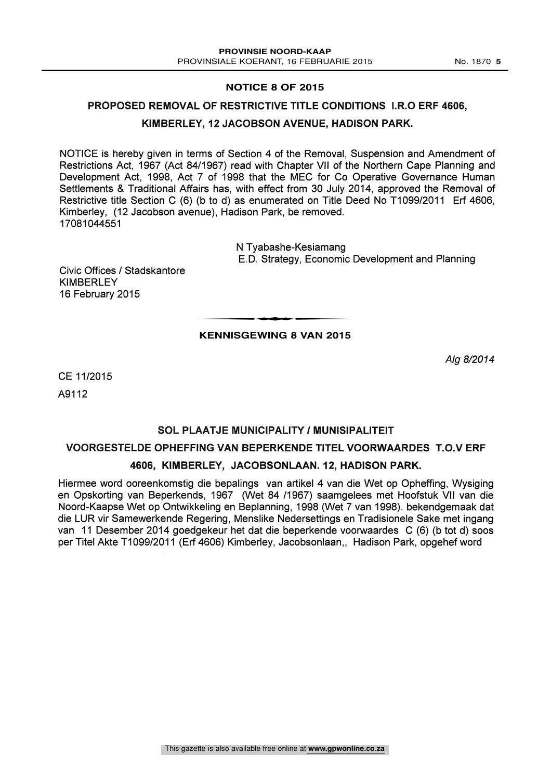## **NOTICE 8 OF 2015**

#### PROPOSED REMOVAL OF RESTRICTIVE TITLE CONDITIONS I.R.O ERF 4606,

#### KIMBERLEY, 12 JACOBSON AVENUE, HADISON PARK.

NOTICE is hereby given in terms of Section 4 of the Removal, Suspension and Amendment of Restrictions Act, 1967 (Act 84/1967) read with Chapter VII of the Northern Cape Planning and Development Act, 1998, Act 7 of 1998 that the MEC for Co Operative Governance Human Settlements & Traditional Affairs has, with effect from 30 July 2014, approved the Removal of Restrictive title Section C (6) (b to d) as enumerated on Title Deed No T1099/2011 Erf 4606, Kimberley, (12 Jacobson avenue), Hadison Park, be removed. 17081044551

> N Tyabashe-Kesiamang E.D. Strategy, Economic Development and Planning

Civic Offices / Stadskantore **KIMBERLEY** 16 February 2015

## t**KENNISGEWING 8 VAN 2015**

Alg 8/2014

CE 11/2015

A9112

# SOL PLAATJE MUNICIPALITY / MUNISIPALITEIT

#### VOORGESTELDE OPHEFFING VAN BEPERKENDE TITEL VOORWAARDES T.O.V ERF

#### 4606, KIMBERLEY, JACOBSONLAAN. 12, HADISON PARK.

Hiermee word ooreenkomstig die bepalings van artikel 4 van die Wet op Opheffing, Wysiging en Opskorting van Beperkends, 1967 (Wet 84 /1967) saamgelees met Hoofstuk VII van die Noord-Kaapse Wet op Ontwikkeling en Beplanning, 1998 (Wet 7 van 1998). bekendgemaak dat die LUR vir Samewerkende Regering, Menslike Nedersettings en Tradisionele Sake met ingang van 11 Desember 2014 goedgekeur het dat die beperkende voorwaardes C (6) (b tot d) soos per Titel Akte T1099/2011 (Erf 4606) Kimberley, Jacobsonlaan,, Hadison Park, opgehef word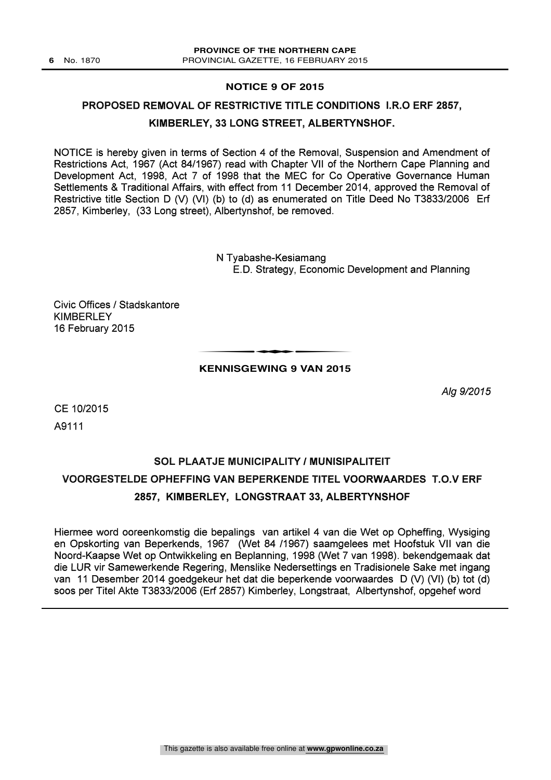#### **NOTICE 9 OF 2015**

## PROPOSED REMOVAL OF RESTRICTIVE TITLE CONDITIONS I.R.O ERF 2857,

#### KIMBERLEY, 33 LONG STREET, ALBERTYNSHOF.

NOTICE is hereby given in terms of Section 4 of the Removal, Suspension and Amendment of Restrictions Act, 1967 (Act 84/1967) read with Chapter VII of the Northern Cape Planning and Development Act, 1998, Act 7 of 1998 that the MEC for Co Operative Governance Human Settlements & Traditional Affairs, with effect from 11 December 2014, approved the Removal of Restrictive title Section D (V) (VI) (b) to (d) as enumerated on Title Deed No T3833/2006 Erf 2857, Kimberley, (33 Long street), Albertynshof, be removed.

> N Tyabashe-Kesiamang E.D. Strategy, Economic Development and Planning

Civic Offices / Stadskantore KIMBERLEY 16 February 2015

#### t**KENNISGEWING 9 VAN 2015**

Alg 9/2015

CE 10/2015 A9111

# SOL PLAATJE MUNICIPALITY / MUNISIPALITEIT VOORGESTELDE OPHEFFING VAN BEPERKENDE TITEL VOORWAARDES T.O.V ERF 2857, KIMBERLEY, LONGSTRAAT 33, ALBERTYNSHOF

Hiermee word ooreenkomstig die bepalings van artikel 4 van die Wet op Opheffing, Wysiging en Opskorting van Beperkends, 1967 (Wet 84 /1967) saamgelees met Hoofstuk VII van die Noord-Kaapse Wet op Ontwikkeling en Beplanning, 1998 (Wet 7 van 1998). bekendgemaak dat die LUR vir Samewerkende Regering, Menslike Nedersettings en Tradisionele Sake met ingang van 11 Desember 2014 goedgekeur het dat die beperkende voorwaardes D (V) (VI) (b) tot (d) soos per Titel Akte T3833/2006 (Erf 2857) Kimberley, Longstraat, Albertynshof, opgehef word